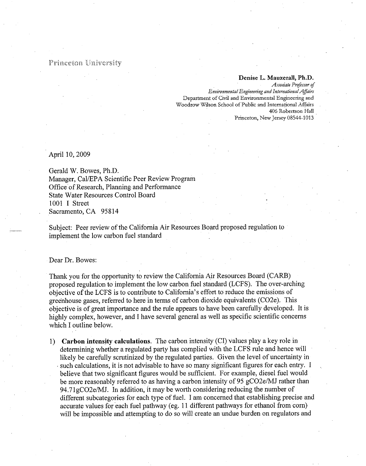## Princeton University

## Denise L. Mauzerall, Ph.D.

Associate Professor of Environmental Engineering and International Affairs Department of Civil and Environmental Engineering and Woodrow Wilson School of Public and International Affairs 406 Robertson Hall Princeton, New Jersey 08544-1013

April 10, 2009

Gerald W. Bowes, Ph.D. Manager, Cal/EPA Scientific Peer Review Program Office of Research, Planning and Performance State Water Resources Control Board 1001 I Street Sacramento, CA 95814

Subject: Peer review of the California Air Resources Board proposed regulation to implement the low carbon fuel standard

Dear Dr. Bowes:

Thank you for the opportunity to review the California Air Resources Board (CARB) proposed regulation to implement the low carbon fuel standard (LCFS). The over-arching objective of the LCFS is to contribute to California's effort to reduce the emissions of greenhouse gases, referred to here in terms of carbon dioxide equivalents (CO2e). This objective is of great importance and the rule appears to have been carefully developed. It is highly complex, however, and I have several general as well as specific scientific concerns which I outline below.

1) Carbon intensity calculations. The carbon intensity (CI) values play a key role in determining whether a regulated party has complied with the LCFS rule and hence will likely be carefully scrutinized by the regulated parties. Given the level of uncertainty in such calculations, it is not advisable to have so many significant figures for each entry. I believe that two significant figures would be sufficient. For example, diesel fuel would be more reasonably referred to as having a carbon intensity of 95 gCO2e/MJ rather than 94.71gCO2e/MJ. In addition, it may be worth considering reducing the number of different subcategories for each type of fuel. I am concerned that establishing precise and accurate values for each fuel pathway (eg. 11 different pathways for ethanol from corn) will be impossible and attempting to do so will create an undue burden on regulators and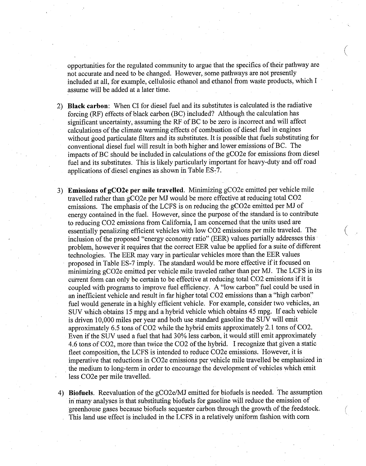opportunities for the regulated community to argue that the specifics of their pathway are not accurate and need to be changed. However, some pathways are not presently included at all, for example, cellulosic ethanol and ethanol from waste products, which I assume will be added at a later time.

- 2) Black carbon: When CI for diesel fuel and its substitutes is calculated is the radiative forcing (RF) effects of black carbon (BC) included? Although the calculation has significant uncertainty, assuming the RF of BC to be zero is incorrect and will affect calculations of the climate warming effects of combustion of diesel fuel in engines without good particulate filters and its substitutes. It is possible that fuels substituting for conventional diesel fuel will result in both higher and lower emissions of BC. The impacts of BC should be included in calculations of the gCO2e for emissions from diesel fuel and its substitutes. This is likely particularly important for heavy-duty and off road applications of diesel engines as shown in Table ES-7.
- 3) Emissions of gCO2e per mile travelled. Minimizing gCO2e emitted per vehicle mile travelled rather than gCO2e per MJ would be more effective at reducing total CO2 emissions. The emphasis of the LCFS is on reducing the gCO2e emitted per MJ of energy contained in the fuel. However, since the purpose of the standard is to contribute to reducing CO2 emissions from California, I am concerned that the units used are essentially penalizing efficient vehicles with low CO2 emissions per mile traveled. The inclusion of the proposed "energy economy ratio" (EER) values partially addresses this problem, however it requires that the correct EER value be applied for a suite of different technologies. The EER may vary in particular vehicles more than the EER values proposed in Table ES-7 imply. The standard would be more effective if it focused on minimizing gCO2e emitted per vehicle mile traveled rather than per MJ. The LCFS in its current form can only be certain to be effective at reducing total CO2 emissions if it is coupled with programs to improve fuel efficiency. A "low carbon" fuel could be used in an inefficient vehicle and result in far higher total CO2 emissions than a "high carbon" fuel would generate in a highly efficient vehicle. For example, consider two vehicles, an SUV which obtains 15 mpg and a hybrid vehicle which obtains 45 mpg. If each vehicle is driven 10,000 miles per year and both use standard gasoline the SUV will emit approximately 6.5 tons of CO2 while the hybrid emits approximately 2.1 tons of CO2. Even if the SUV used a fuel that had 30% less carbon, it would still emit approximately 4.6 tons of CO2, more than twice the CO2 of the hybrid. I recognize that given a static fleet composition, the LCFS is intended to reduce CO2e emissions. However, it is imperative that reductions in CO2e emissions per vehicle mile travelled be emphasized in the medium to long-term in order to encourage the development of vehicles which emit less CO2e per mile travelled.
- 4) Biofuels. Reevaluation of the gCO2e/MJ emitted for biofuels is needed. The assumption in many analyses is that substituting biofuels for gasoline will reduce the emission of greenhouse gases because biofuels sequester carbon through the growth of the feedstock. This land use effect is included in the LCFS in a relatively uniform fashion with corn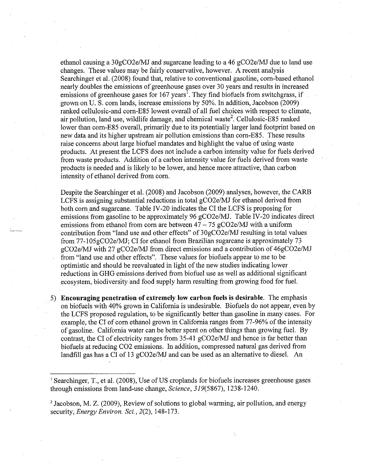ethanol causing a 30gCO2e/MJ and sugarcane leading to a 46 gCO2e/MJ due to land use changes. These values may be fairly conservative, however. A recent analysis Searchinger et al. (2008) found that, relative to conventional gasoline, corn-based ethanol nearly doubles the emissions of greenhouse gases over 30 years and results in increased emissions of greenhouse gases for  $167$  years<sup>1</sup>. They find biofuels from switchgrass, if grown on U. S. corn lands, increase emissions by 50%. In addition, Jacobson (2009) ranked cellulosic-and corn-E85 lowest overall of all fuel choices with respect to climate, air pollution, land use, wildlife damage, and chemical waste<sup>2</sup>. Cellulosic-E85 ranked lower than corn-E85 overall, primarily due to its potentially larger land footprint based on new data and its higher upstream air pollution emissions than corn-E85. These results raise concerns about large biofuel mandates and highlight the value of using waste products. At present the LCFS does not include a carbon intensity value for fuels derived from waste products. Addition of a carbon intensity value for fuels derived from waste products is needed and is likely to be lower, and hence more attractive, than carbon intensity of ethanol derived from corn.

Despite the Searchinger et al. (2008) and Jacobson (2009) analyses, however, the CARB LCFS is assigning substantial reductions in total gCO2e/MJ for ethanol derived from both corn and sugarcane. Table IV-20 indicates the CI the LCFS is proposing for emissions from gasoline to be approximately 96 gCO2e/MJ. Table IV-20 indicates direct emissions from ethanol from corn are between  $47 - 75$  gCO2e/MJ with a uniform contribution from "land use and other effects" of 30gCO2e/MJ resulting in total values from 77-105gCO2e/MJ; CI for ethanol from Brazilian sugarcane is approximately 73 gCO2e/MJ with 27 gCO2e/MJ from direct emissions and a contribution of 46gCO2e/MJ from "land use and other effects". These values for biofuels appear to me to be optimistic and should be reevaluated in light of the new studies indicating lower reductions in GHG emissions derived from biofuel use as well as additional significant ecosystem, biodiversity and food supply harm resulting from growing food for fuel.

5) Encouraging penetration of extremely low carbon fuels is desirable. The emphasis on biofuels with 40% grown in California is undesirable. Biofuels do not appear, even by the LCFS proposed regulation, to be significantly better than gasoline in many cases. For example, the CI of corn ethanol grown in California ranges from 77-96% of the intensity of gasoline. California water can be better spent on other things than growing fuel. By contrast, the CI of electricity ranges from 35-41 gCO2e/MJ and hence is far better than biofuels at reducing CO2 emissions. In addition, compressed natural gas derived from landfill gas has a CI of 13 gCO2e/MJ and can be used as an alternative to diesel. An

2 Jacobson, M. Z. (2009), Review of solutions to global warming, air pollution, and energy security, *Energy Environ. Sci.*, 2(2), 148-173.

<sup>&</sup>lt;sup>1</sup> Searchinger, T., et al. (2008), Use of US croplands for biofuels increases greenhouse gases through emissions from land-use change, Science, 319(5867), 1238-1240.